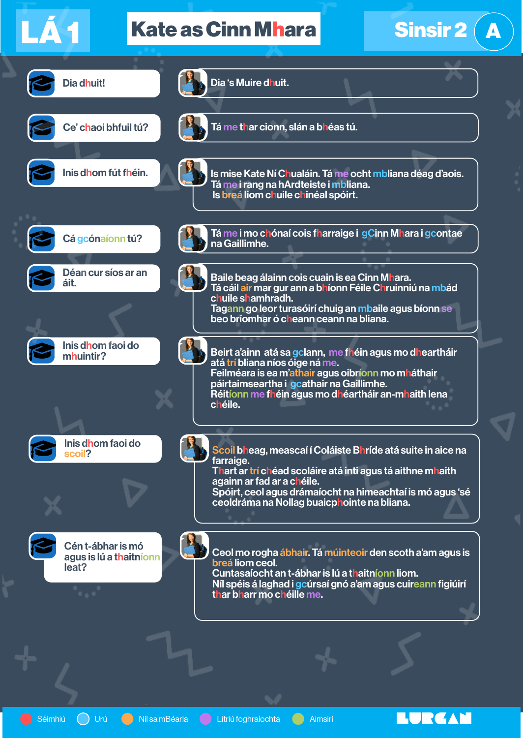